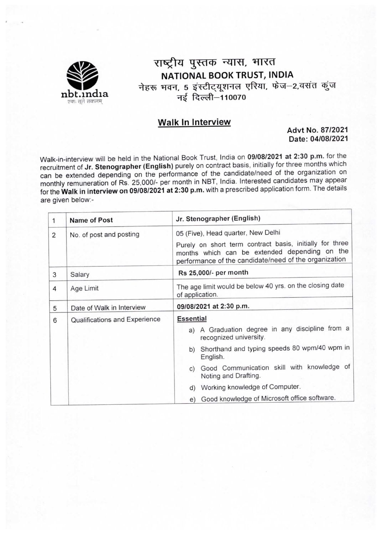

# राष्ट्रीय पुस्तक न्यास, भारत NATIONAL BOOK TRUST, INDIA नेहरू भवन, 5 इंस्टीट्यूशनल एरिया, फेज $-$ 2,वसंत कुंज .<br>नई दिल्ली-110070

## Walk ln Interview

Advt No. 87/2021 Date: 04/08/2021

Walk-in-interview will be held in the National Book Trust, India on 09/08/2021 at 2:30 p.m. for the recruitment of Jr. Stenographer (English) purely on contract basis, initially for three months which can be extended depending on the performance of the candidate/need of the organization on monthly remuneration of Rs. 25,000/- per month in NBT, India. Interested candidates may appear for the Walk in interview on 09/08/2021 at 2:30 p.m. with a prescribed application form. The details are given below:-

| 1              | Name of Post                  | Jr. Stenographer (English)                                                                                                                                                                               |  |  |  |
|----------------|-------------------------------|----------------------------------------------------------------------------------------------------------------------------------------------------------------------------------------------------------|--|--|--|
| $\overline{2}$ | No. of post and posting       | 05 (Five), Head quarter, New Delhi<br>Purely on short term contract basis, initially for three<br>months which can be extended depending on the<br>performance of the candidate/need of the organization |  |  |  |
| 3              | Salary                        | Rs 25,000/- per month                                                                                                                                                                                    |  |  |  |
| 4              | Age Limit                     | The age limit would be below 40 yrs. on the closing date<br>of application.                                                                                                                              |  |  |  |
| 5              | Date of Walk in Interview     | 09/08/2021 at 2:30 p.m.                                                                                                                                                                                  |  |  |  |
| 6              | Qualifications and Experience | <b>Essential</b><br>a) A Graduation degree in any discipline from a<br>recognized university.                                                                                                            |  |  |  |
|                |                               | b) Shorthand and typing speeds 80 wpm/40 wpm in<br>English.                                                                                                                                              |  |  |  |
|                |                               | Good Communication skill with knowledge of<br>C)<br>Noting and Drafting.                                                                                                                                 |  |  |  |
|                |                               | d) Working knowledge of Computer.                                                                                                                                                                        |  |  |  |
|                |                               | e) Good knowledge of Microsoft office software.                                                                                                                                                          |  |  |  |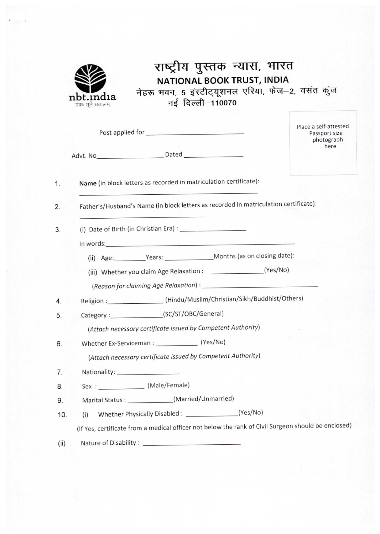

# राष्ट्रीय पुस्तक न्यास, भारत NATIONAL BOOK TRUST, INDIA नेहरू भवन, 5 इंस्टीट्यूशनल एरिया, फेज–2, वसंत कुंज नई दिल्ली-110070

|                                                                                                     | Place a self-attested<br>Passport size<br>photograph |
|-----------------------------------------------------------------------------------------------------|------------------------------------------------------|
|                                                                                                     | here                                                 |
| Name (in block letters as recorded in matriculation certificate):                                   |                                                      |
| Father's/Husband's Name (in block letters as recorded in matriculation certificate):                |                                                      |
|                                                                                                     |                                                      |
|                                                                                                     |                                                      |
| (ii) Age: Years: Months (as on closing date):                                                       |                                                      |
| (iii) Whether you claim Age Relaxation : ______________________(Yes/No)                             |                                                      |
|                                                                                                     |                                                      |
| Religion :____________________(Hindu/Muslim/Christian/Sikh/Buddhist/Others)                         |                                                      |
| Category:_____________________(SC/ST/OBC/General)                                                   |                                                      |
| (Attach necessary certificate issued by Competent Authority)                                        |                                                      |
|                                                                                                     |                                                      |
| (Attach necessary certificate issued by Competent Authority)                                        |                                                      |
| Nationality: ______________________                                                                 |                                                      |
| Sex: (Male/Female)                                                                                  |                                                      |
| Marital Status : _______________(Married/Unmarried)                                                 |                                                      |
| (i)                                                                                                 |                                                      |
| (If Yes, certificate from a medical officer not below the rank of Civil Surgeon should be enclosed) |                                                      |
|                                                                                                     |                                                      |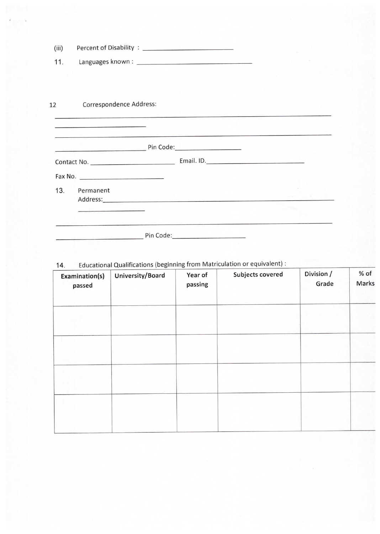| (iii) |                                                                                                                                                                                                                    |                                                                                                                                                                                                                                |  |
|-------|--------------------------------------------------------------------------------------------------------------------------------------------------------------------------------------------------------------------|--------------------------------------------------------------------------------------------------------------------------------------------------------------------------------------------------------------------------------|--|
| 11.   |                                                                                                                                                                                                                    |                                                                                                                                                                                                                                |  |
|       |                                                                                                                                                                                                                    |                                                                                                                                                                                                                                |  |
|       |                                                                                                                                                                                                                    |                                                                                                                                                                                                                                |  |
| 12    | Correspondence Address:                                                                                                                                                                                            |                                                                                                                                                                                                                                |  |
|       | The contract of the contract of the contract of the contract of the contract of the contract of<br>the contract of the property of the contract of the contract of the contract of the contract of the contract of |                                                                                                                                                                                                                                |  |
|       |                                                                                                                                                                                                                    |                                                                                                                                                                                                                                |  |
|       |                                                                                                                                                                                                                    | Pin Code: 2008 Pin Code:                                                                                                                                                                                                       |  |
|       |                                                                                                                                                                                                                    |                                                                                                                                                                                                                                |  |
|       |                                                                                                                                                                                                                    |                                                                                                                                                                                                                                |  |
| 13.   | Permanent                                                                                                                                                                                                          | Address: Address: Address: Address: Address: Address: Address: Address: Address: Address: Address: Address: Address: Address: Address: Address: Address: Address: Address: Address: Address: Address: Address: Address: Addres |  |
|       |                                                                                                                                                                                                                    |                                                                                                                                                                                                                                |  |

Pin Code:

14. Educational Qualifications (beginning from Matriculation or equivalent) :

| Examination(s)<br>passed | University/Board | Year of<br>passing | Subjects covered | Division /<br>Grade | % of<br>Marks |
|--------------------------|------------------|--------------------|------------------|---------------------|---------------|
|                          |                  |                    |                  |                     |               |
|                          |                  |                    |                  |                     |               |
|                          |                  |                    |                  |                     |               |
|                          |                  |                    |                  |                     |               |
|                          |                  |                    |                  |                     |               |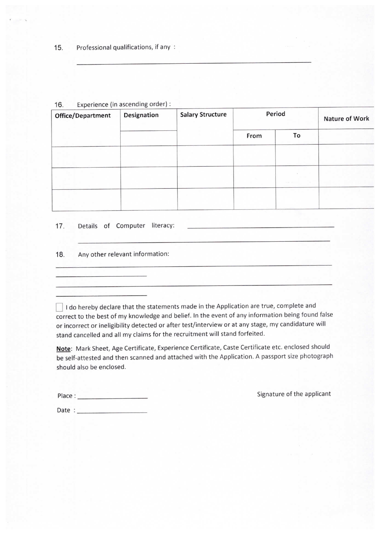| $\cdot$ .<br>$E_{\text{NP}}$ errorise (iii) second is $\sigma$<br>Office/Department | Designation | <b>Salary Structure</b> | Period |                 | Nature of Work |
|-------------------------------------------------------------------------------------|-------------|-------------------------|--------|-----------------|----------------|
|                                                                                     |             |                         | From   | To              |                |
|                                                                                     |             |                         |        |                 |                |
|                                                                                     |             |                         |        | <b>CONTRACT</b> |                |
|                                                                                     |             |                         |        |                 |                |

### 16. Experience (in ascending order) :

17. Details of Computer literacy:

#### 18. Any other relevant information:

 $\Box$  I do hereby declare that the statements made in the Application are true, complete and correct to the best of my knowledge and belief. In the event of any information being found false or incorrect or ineligibility detected or after test/interview or at any stage, my candidature will stand cancelled and all my claims for the recruitment will stand forfeited.

Note: Mark Sheet, Age Certificate, Experience Certificate, Caste Certificate etc. enclosed should be self-attested and then scanned and attached with the Application. A passport size photograph should also be enclosed.

Signature of the applicant